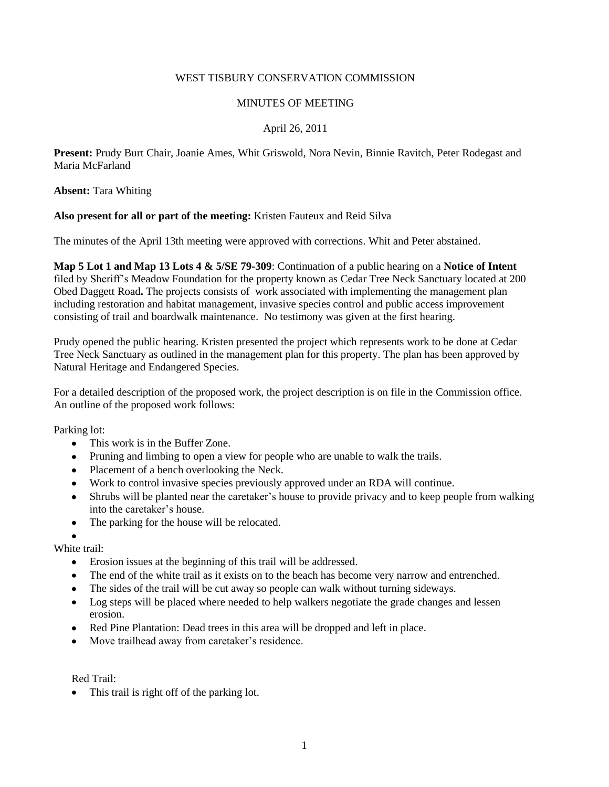# WEST TISBURY CONSERVATION COMMISSION

## MINUTES OF MEETING

# April 26, 2011

**Present:** Prudy Burt Chair, Joanie Ames, Whit Griswold, Nora Nevin, Binnie Ravitch, Peter Rodegast and Maria McFarland

#### **Absent:** Tara Whiting

# **Also present for all or part of the meeting:** Kristen Fauteux and Reid Silva

The minutes of the April 13th meeting were approved with corrections. Whit and Peter abstained.

**Map 5 Lot 1 and Map 13 Lots 4 & 5/SE 79-309**: Continuation of a public hearing on a **Notice of Intent** filed by Sheriff's Meadow Foundation for the property known as Cedar Tree Neck Sanctuary located at 200 Obed Daggett Road**.** The projects consists of work associated with implementing the management plan including restoration and habitat management, invasive species control and public access improvement consisting of trail and boardwalk maintenance. No testimony was given at the first hearing.

Prudy opened the public hearing. Kristen presented the project which represents work to be done at Cedar Tree Neck Sanctuary as outlined in the management plan for this property. The plan has been approved by Natural Heritage and Endangered Species.

For a detailed description of the proposed work, the project description is on file in the Commission office. An outline of the proposed work follows:

Parking lot:

- This work is in the Buffer Zone.  $\bullet$
- Pruning and limbing to open a view for people who are unable to walk the trails.
- Placement of a bench overlooking the Neck.
- Work to control invasive species previously approved under an RDA will continue.
- Shrubs will be planted near the caretaker's house to provide privacy and to keep people from walking into the caretaker's house.
- The parking for the house will be relocated.  $\bullet$
- 

White trail:

- $\bullet$ Erosion issues at the beginning of this trail will be addressed.
- The end of the white trail as it exists on to the beach has become very narrow and entrenched.
- The sides of the trail will be cut away so people can walk without turning sideways.
- Log steps will be placed where needed to help walkers negotiate the grade changes and lessen erosion.
- Red Pine Plantation: Dead trees in this area will be dropped and left in place.
- Move trailhead away from caretaker's residence.

Red Trail:

• This trail is right off of the parking lot.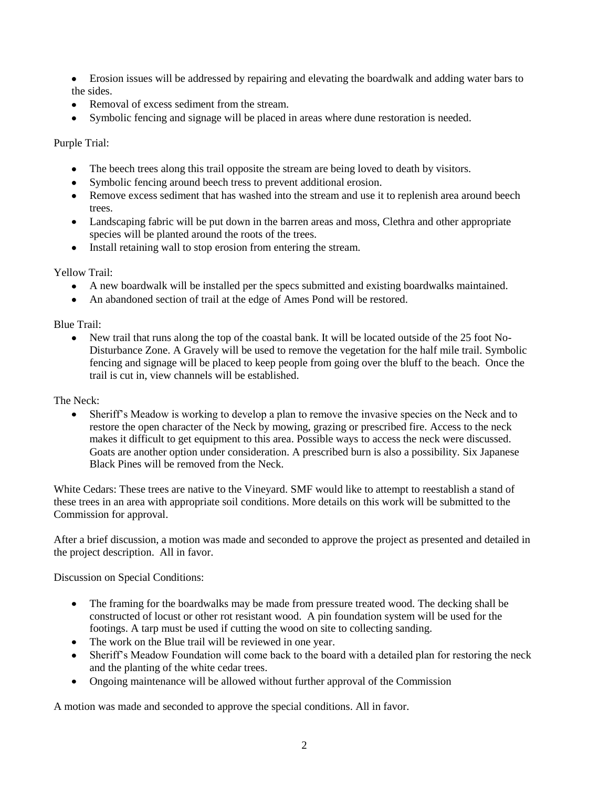- Erosion issues will be addressed by repairing and elevating the boardwalk and adding water bars to the sides.
- Removal of excess sediment from the stream.
- Symbolic fencing and signage will be placed in areas where dune restoration is needed.

Purple Trial:

- The beech trees along this trail opposite the stream are being loved to death by visitors.
- Symbolic fencing around beech tress to prevent additional erosion.
- Remove excess sediment that has washed into the stream and use it to replenish area around beech trees.
- Landscaping fabric will be put down in the barren areas and moss, Clethra and other appropriate species will be planted around the roots of the trees.
- Install retaining wall to stop erosion from entering the stream.

Yellow Trail:

- A new boardwalk will be installed per the specs submitted and existing boardwalks maintained.
- An abandoned section of trail at the edge of Ames Pond will be restored.  $\bullet$

Blue Trail:

New trail that runs along the top of the coastal bank. It will be located outside of the 25 foot No-Disturbance Zone. A Gravely will be used to remove the vegetation for the half mile trail. Symbolic fencing and signage will be placed to keep people from going over the bluff to the beach. Once the trail is cut in, view channels will be established.

The Neck:

 $\bullet$ Sheriff's Meadow is working to develop a plan to remove the invasive species on the Neck and to restore the open character of the Neck by mowing, grazing or prescribed fire. Access to the neck makes it difficult to get equipment to this area. Possible ways to access the neck were discussed. Goats are another option under consideration. A prescribed burn is also a possibility. Six Japanese Black Pines will be removed from the Neck.

White Cedars: These trees are native to the Vineyard. SMF would like to attempt to reestablish a stand of these trees in an area with appropriate soil conditions. More details on this work will be submitted to the Commission for approval.

After a brief discussion, a motion was made and seconded to approve the project as presented and detailed in the project description. All in favor.

Discussion on Special Conditions:

- The framing for the boardwalks may be made from pressure treated wood. The decking shall be  $\bullet$ constructed of locust or other rot resistant wood. A pin foundation system will be used for the footings. A tarp must be used if cutting the wood on site to collecting sanding.
- The work on the Blue trail will be reviewed in one year.
- Sheriff's Meadow Foundation will come back to the board with a detailed plan for restoring the neck and the planting of the white cedar trees.
- Ongoing maintenance will be allowed without further approval of the Commission

A motion was made and seconded to approve the special conditions. All in favor.